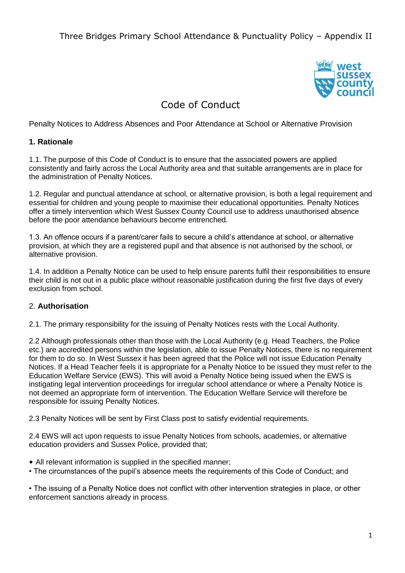

# Code of Conduct

Penalty Notices to Address Absences and Poor Attendance at School or Alternative Provision

#### **1. Rationale**

1.1. The purpose of this Code of Conduct is to ensure that the associated powers are applied consistently and fairly across the Local Authority area and that suitable arrangements are in place for the administration of Penalty Notices.

1.2. Regular and punctual attendance at school, or alternative provision, is both a legal requirement and essential for children and young people to maximise their educational opportunities. Penalty Notices offer a timely intervention which West Sussex County Council use to address unauthorised absence before the poor attendance behaviours become entrenched.

1.3. An offence occurs if a parent/carer fails to secure a child's attendance at school, or alternative provision, at which they are a registered pupil and that absence is not authorised by the school, or alternative provision.

1.4. In addition a Penalty Notice can be used to help ensure parents fulfil their responsibilities to ensure their child is not out in a public place without reasonable justification during the first five days of every exclusion from school.

### 2. **Authorisation**

2.1. The primary responsibility for the issuing of Penalty Notices rests with the Local Authority.

2.2 Although professionals other than those with the Local Authority (e.g. Head Teachers, the Police etc.) are accredited persons within the legislation, able to issue Penalty Notices, there is no requirement for them to do so. In West Sussex it has been agreed that the Police will not issue Education Penalty Notices. If a Head Teacher feels it is appropriate for a Penalty Notice to be issued they must refer to the Education Welfare Service (EWS). This will avoid a Penalty Notice being issued when the EWS is instigating legal intervention proceedings for irregular school attendance or where a Penalty Notice is not deemed an appropriate form of intervention. The Education Welfare Service will therefore be responsible for issuing Penalty Notices.

2.3 Penalty Notices will be sent by First Class post to satisfy evidential requirements.

2.4 EWS will act upon requests to issue Penalty Notices from schools, academies, or alternative education providers and Sussex Police, provided that;

- All relevant information is supplied in the specified manner;
- The circumstances of the pupil's absence meets the requirements of this Code of Conduct; and

• The issuing of a Penalty Notice does not conflict with other intervention strategies in place, or other enforcement sanctions already in process.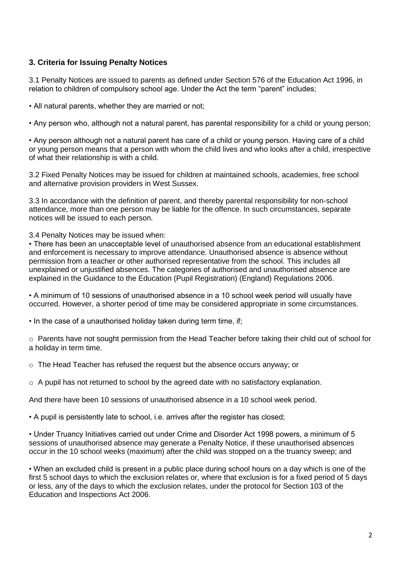### **3. Criteria for Issuing Penalty Notices**

3.1 Penalty Notices are issued to parents as defined under Section 576 of the Education Act 1996, in relation to children of compulsory school age. Under the Act the term "parent" includes;

• All natural parents, whether they are married or not;

• Any person who, although not a natural parent, has parental responsibility for a child or young person;

• Any person although not a natural parent has care of a child or young person. Having care of a child or young person means that a person with whom the child lives and who looks after a child, irrespective of what their relationship is with a child.

3.2 Fixed Penalty Notices may be issued for children at maintained schools, academies, free school and alternative provision providers in West Sussex.

3.3 In accordance with the definition of parent, and thereby parental responsibility for non-school attendance, more than one person may be liable for the offence. In such circumstances, separate notices will be issued to each person.

3.4 Penalty Notices may be issued when:

• There has been an unacceptable level of unauthorised absence from an educational establishment and enforcement is necessary to improve attendance. Unauthorised absence is absence without permission from a teacher or other authorised representative from the school. This includes all unexplained or unjustified absences. The categories of authorised and unauthorised absence are explained in the Guidance to the Education (Pupil Registration) (England) Regulations 2006.

• A minimum of 10 sessions of unauthorised absence in a 10 school week period will usually have occurred. However, a shorter period of time may be considered appropriate in some circumstances.

• In the case of a unauthorised holiday taken during term time, if;

o Parents have not sought permission from the Head Teacher before taking their child out of school for a holiday in term time.

 $\circ$  The Head Teacher has refused the request but the absence occurs anyway; or

 $\circ$  A pupil has not returned to school by the agreed date with no satisfactory explanation.

And there have been 10 sessions of unauthorised absence in a 10 school week period.

• A pupil is persistently late to school, i.e. arrives after the register has closed;

• Under Truancy Initiatives carried out under Crime and Disorder Act 1998 powers, a minimum of 5 sessions of unauthorised absence may generate a Penalty Notice, if these unauthorised absences occur in the 10 school weeks (maximum) after the child was stopped on a the truancy sweep; and

• When an excluded child is present in a public place during school hours on a day which is one of the first 5 school days to which the exclusion relates or, where that exclusion is for a fixed period of 5 days or less, any of the days to which the exclusion relates, under the protocol for Section 103 of the Education and Inspections Act 2006.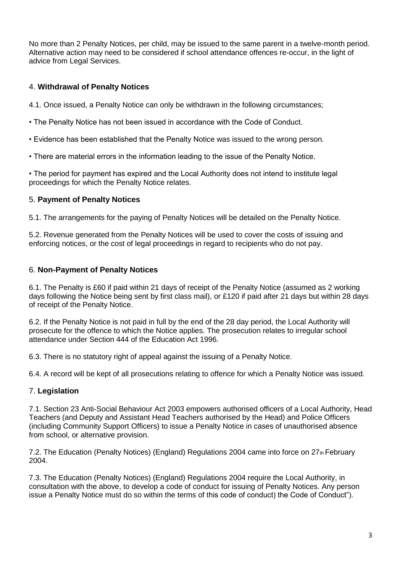No more than 2 Penalty Notices, per child, may be issued to the same parent in a twelve-month period. Alternative action may need to be considered if school attendance offences re-occur, in the light of advice from Legal Services.

## 4. **Withdrawal of Penalty Notices**

- 4.1. Once issued, a Penalty Notice can only be withdrawn in the following circumstances;
- The Penalty Notice has not been issued in accordance with the Code of Conduct.
- Evidence has been established that the Penalty Notice was issued to the wrong person.
- There are material errors in the information leading to the issue of the Penalty Notice.

• The period for payment has expired and the Local Authority does not intend to institute legal proceedings for which the Penalty Notice relates.

## 5. **Payment of Penalty Notices**

5.1. The arrangements for the paying of Penalty Notices will be detailed on the Penalty Notice.

5.2. Revenue generated from the Penalty Notices will be used to cover the costs of issuing and enforcing notices, or the cost of legal proceedings in regard to recipients who do not pay.

### 6. **Non-Payment of Penalty Notices**

6.1. The Penalty is £60 if paid within 21 days of receipt of the Penalty Notice (assumed as 2 working days following the Notice being sent by first class mail), or £120 if paid after 21 days but within 28 days of receipt of the Penalty Notice.

6.2. If the Penalty Notice is not paid in full by the end of the 28 day period, the Local Authority will prosecute for the offence to which the Notice applies. The prosecution relates to irregular school attendance under Section 444 of the Education Act 1996.

6.3. There is no statutory right of appeal against the issuing of a Penalty Notice.

6.4. A record will be kept of all prosecutions relating to offence for which a Penalty Notice was issued.

## 7. **Legislation**

7.1. Section 23 Anti-Social Behaviour Act 2003 empowers authorised officers of a Local Authority, Head Teachers (and Deputy and Assistant Head Teachers authorised by the Head) and Police Officers (including Community Support Officers) to issue a Penalty Notice in cases of unauthorised absence from school, or alternative provision.

7.2. The Education (Penalty Notices) (England) Regulations 2004 came into force on  $27<sub>th</sub>$  February 2004.

7.3. The Education (Penalty Notices) (England) Regulations 2004 require the Local Authority, in consultation with the above, to develop a code of conduct for issuing of Penalty Notices. Any person issue a Penalty Notice must do so within the terms of this code of conduct) the Code of Conduct").